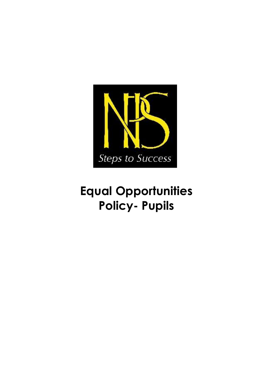

# **Equal Opportunities Policy- Pupils**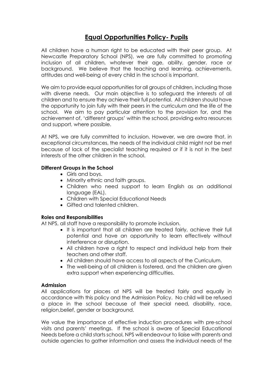## **Equal Opportunities Policy- Pupils**

All children have a human right to be educated with their peer group. At Newcastle Preparatory School (NPS), we are fully committed to promoting inclusion of all children, whatever their age, ability, gender, race or background. We believe that the teaching and learning, achievements, attitudes and well-being of every child in the school is important.

We aim to provide equal opportunities for all groups of children, including those with diverse needs. Our main objective is to safeguard the interests of all children and to ensure they achieve their full potential. All children should have the opportunity to join fully with their peers in the curriculum and the life of the school. We aim to pay particular attention to the provision for, and the achievement of, 'different groups' within the school, providing extra resources and support, where possible.

At NPS, we are fully committed to inclusion. However, we are aware that, in exceptional circumstances, the needs of the individual child might not be met because of lack of the specialist teaching required or if it is not in the best interests of the other children in the school.

#### **Different Groups in the School**

- Girls and boys.
- Minority ethnic and faith groups.
- Children who need support to learn English as an additional language (EAL).
- Children with Special Educational Needs
- Gifted and talented children.

#### **Roles and Responsibilities**

At NPS, all staff have a responsibility to promote inclusion.

- It is important that all children are treated fairly, achieve their full potential and have an opportunity to learn effectively without interference or disruption.
- All children have a right to respect and individual help from their teachers and other staff.
- All children should have access to all aspects of the Curriculum.
- The well-being of all children is fostered, and the children are given extra support when experiencing difficulties.

#### **Admission**

All applications for places at NPS will be treated fairly and equally in accordance with this policy and the Admission Policy. No child will be refused a place in the school because of their special need, disability, race, religion,belief, gender or background.

We value the importance of effective induction procedures with pre-school visits and parents' meetings. If the school is aware of Special Educational Needs before a child starts school, NPS will endeavour to liaise with parents and outside agencies to gather information and assess the individual needs of the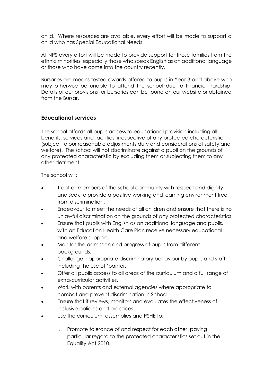child. Where resources are available, every effort will be made to support a child who has Special Educational Needs.

At NPS every effort will be made to provide support for those families from the ethnic minorities, especially those who speak English as an additional language or those who have come into the country recently.

Bursaries are means tested awards offered to pupils in Year 3 and above who may otherwise be unable to attend the school due to financial hardship. Details of our provisions for bursaries can be found on our website or obtained from the Bursar.

## **Educational services**

The school affords all pupils access to educational provision including all benefits, services and facilities, irrespective of any protected characteristic (subject to our reasonable adjustments duty and considerations of safety and welfare). The school will not discriminate against a pupil on the grounds of any protected characteristic by excluding them or subjecting them to any other detriment.

The school will:

- Treat all members of the school community with respect and dignity and seek to provide a positive working and learning environment free from discrimination.
- Endeavour to meet the needs of all children and ensure that there is no unlawful discrimination on the grounds of any protected characteristics
- Ensure that pupils with English as an additional language and pupils. with an Education Health Care Plan receive necessary educational and welfare support.
- Monitor the admission and progress of pupils from different backgrounds.
- Challenge inappropriate discriminatory behaviour by pupils and staff including the use of 'banter.'
- Offer all pupils access to all areas of the curriculum and a full range of extra-curricular activities.
- Work with parents and external agencies where appropriate to combat and prevent discrimination in School.
- Ensure that it reviews, monitors and evaluates the effectiveness of inclusive policies and practices.
- Use the curriculum, assemblies and PSHE to:
	- o Promote tolerance of and respect for each other, paying particular regard to the protected characteristics set out in the Equality Act 2010.